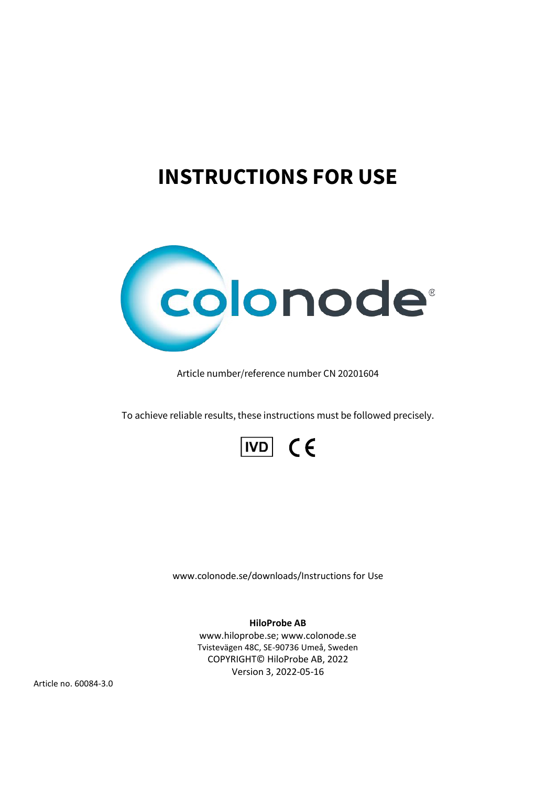# **INSTRUCTIONS FOR USE**



Article number/reference number CN 20201604

To achieve reliable results, these instructions must be followed precisely.



www.colonode.se/downloads/Instructions for Use

**HiloProbe AB**

www.hiloprobe.se; www.colonode.se Tvistevägen 48C, SE-90736 Umeå, Sweden COPYRIGHT© HiloProbe AB, 2022 Version 3, 2022-05-16

Article no. 60084-3.0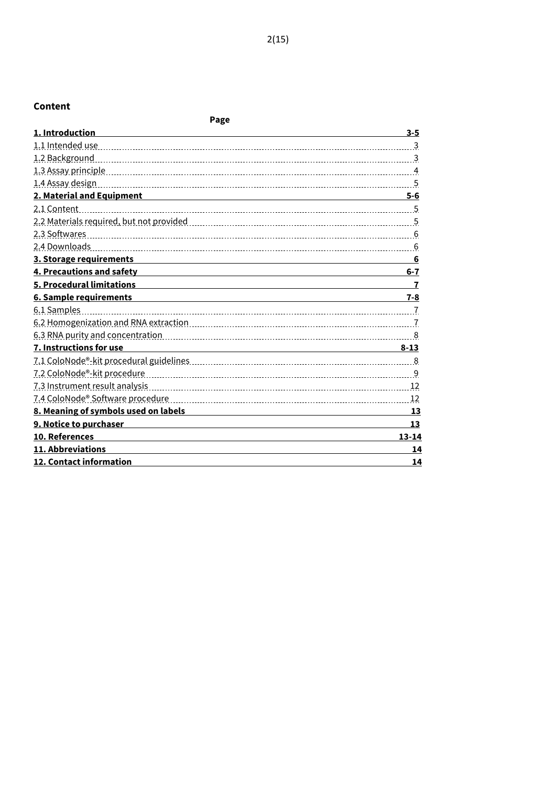# **Content**

| Page                                                                                                                 |                |
|----------------------------------------------------------------------------------------------------------------------|----------------|
| 1. Introduction                                                                                                      | $3 - 5$        |
|                                                                                                                      | $\overline{3}$ |
| 1.2 Background                                                                                                       |                |
|                                                                                                                      |                |
|                                                                                                                      |                |
| <u>2. Material and Equipment and Equipment and Equipment and Equipment and Equipment and Equipment and Equipment</u> | $5 - 6$        |
| 2.1 Content                                                                                                          |                |
|                                                                                                                      |                |
|                                                                                                                      |                |
|                                                                                                                      | 6              |
| 3. Storage requirements                                                                                              | 6              |
| 4. Precautions and safety                                                                                            | $6 - 7$        |
| 5. Procedural limitations                                                                                            |                |
| <b>6. Sample requirements</b>                                                                                        | $7 - 8$        |
| 6.1 Samples                                                                                                          |                |
|                                                                                                                      |                |
|                                                                                                                      |                |
| 7. Instructions for use                                                                                              | $8 - 13$       |
|                                                                                                                      |                |
|                                                                                                                      |                |
|                                                                                                                      |                |
|                                                                                                                      | -12            |
| 8. Meaning of symbols used on labels                                                                                 | 13             |
| 9. Notice to purchaser                                                                                               | 13             |
| 10. References                                                                                                       | $13 - 14$      |
| 11. Abbreviations                                                                                                    | 14             |
| 12. Contact information                                                                                              | 14             |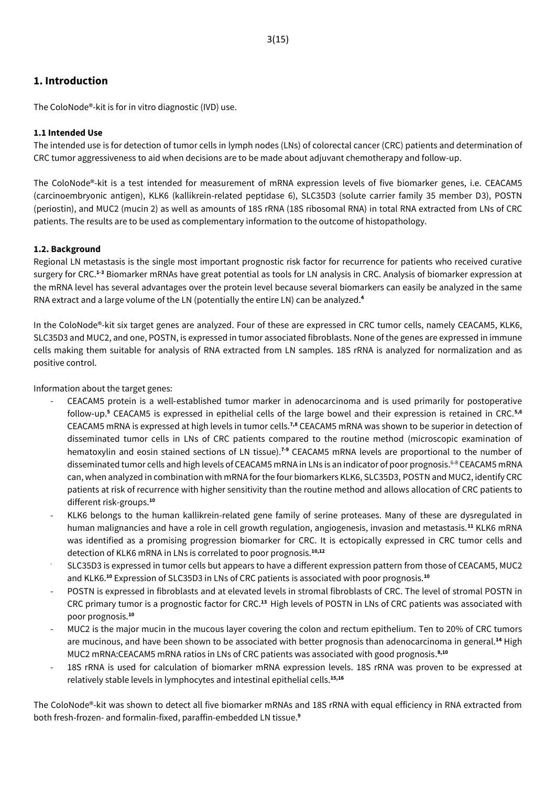# **1. Introduction**

The ColoNode®-kit is for in vitro diagnostic (IVD) use.

#### **1.1 Intended Use**

The intended use is for detection of tumor cells in lymph nodes (LNs) of colorectal cancer (CRC) patients and determination of CRC tumor aggressiveness to aid when decisions are to be made about adjuvant chemotherapy and follow-up.

The ColoNode®-kit is a test intended for measurement of mRNA expression levels of five biomarker genes, i.e. CEACAM5 (carcinoembryonic antigen), KLK6 (kallikrein-related peptidase 6), SLC35D3 (solute carrier family 35 member D3), POSTN (periostin), and MUC2 (mucin 2) as well as amounts of 18S rRNA (18S ribosomal RNA) in total RNA extracted from LNs of CRC patients. The results are to be used as complementary information to the outcome of histopathology.

#### **1.2. Background**

Regional LN metastasis is the single most important prognostic risk factor for recurrence for patients who received curative surgery for CRC.**1-3** Biomarker mRNAs have great potential as tools for LN analysis in CRC. Analysis of biomarker expression at the mRNA level has several advantages over the protein level because several biomarkers can easily be analyzed in the same RNA extract and a large volume of the LN (potentially the entire LN) can be analyzed.**<sup>4</sup>**

In the ColoNode®-kit six target genes are analyzed. Four of these are expressed in CRC tumor cells, namely CEACAM5, KLK6, SLC35D3 and MUC2, and one, POSTN, is expressed in tumor associated fibroblasts. None of the genes are expressed in immune cells making them suitable for analysis of RNA extracted from LN samples. 18S rRNA is analyzed for normalization and as positive control.

Information about the target genes:

- CEACAM5 protein is a well‐established tumor marker in adenocarcinoma and is used primarily for postoperative follow‐up. **<sup>5</sup>** CEACAM5 is expressed in epithelial cells of the large bowel and their expression is retained in CRC.**5,6** CEACAM5 mRNA is expressed at high levels in tumor cells.<sup>7,8</sup> CEACAM5 mRNA was shown to be superior in detection of disseminated tumor cells in LNs of CRC patients compared to the routine method (microscopic examination of hematoxylin and eosin stained sections of LN tissue).**7-9** CEACAM5 mRNA levels are proportional to the number of disseminated tumor cells and high levels of CEACAM5 mRNA in LNs is an indicator of poor prognosis.<sup>6-8</sup> CEACAM5 mRNA can, when analyzed in combination with mRNA forthe four biomarkers KLK6, SLC35D3, POSTN and MUC2, identify CRC patients at risk of recurrence with higher sensitivity than the routine method and allows allocation of CRC patients to different risk-groups. **10**
- KLK6 belongs to the human kallikrein-related gene family of serine proteases. Many of these are dysregulated in human malignancies and have a role in cell growth regulation, angiogenesis, invasion and metastasis.**<sup>11</sup>** KLK6 mRNA was identified as a promising progression biomarker for CRC. It is ectopically expressed in CRC tumor cells and detection of KLK6 mRNA in LNs is correlated to poor prognosis.**10,12**
- SLC35D3 is expressed in tumor cells but appears to have a different expression pattern from those of CEACAM5, MUC2 and KLK6. **<sup>10</sup>** Expression of SLC35D3 in LNs of CRC patients is associated with poor prognosis.**<sup>10</sup>**
- POSTN is expressed in fibroblasts and at elevated levels in stromal fibroblasts of CRC. The level of stromal POSTN in CRC primary tumor is a prognostic factor for CRC.**<sup>13</sup>** High levels of POSTN in LNs of CRC patients was associated with poor prognosis.**<sup>10</sup>**
- MUC2 is the major mucin in the mucous layer covering the colon and rectum epithelium. Ten to 20% of CRC tumors are mucinous, and have been shown to be associated with better prognosis than adenocarcinoma in general.<sup>14</sup> High MUC2 mRNA:CEACAM5 mRNA ratios in LNs of CRC patients was associated with good prognosis. **8,10**
- 18S rRNA is used for calculation of biomarker mRNA expression levels. 18S rRNA was proven to be expressed at relatively stable levels in lymphocytes and intestinal epithelial cells. **15,16**

The ColoNode®-kit was shown to detect all five biomarker mRNAs and 18S rRNA with equal efficiency in RNA extracted from both fresh-frozen- and formalin-fixed, paraffin-embedded LN tissue.**<sup>9</sup>**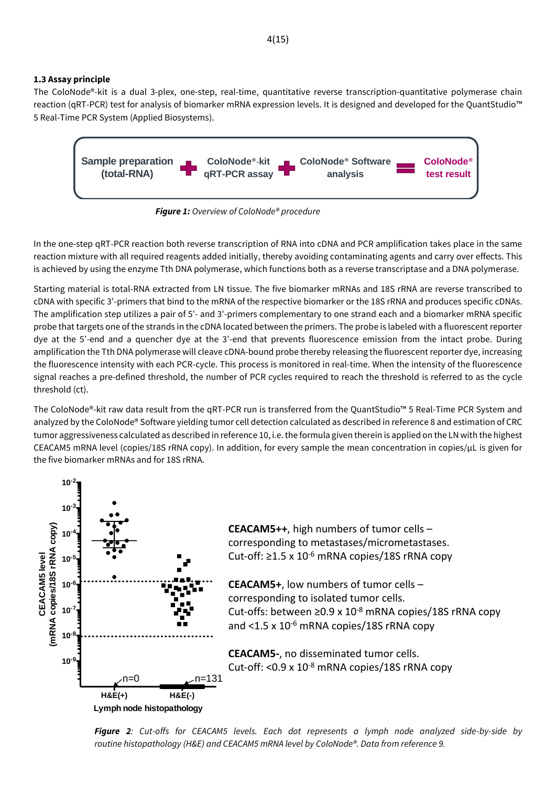The ColoNode®-kit is a dual 3-plex, one-step, real-time, quantitative reverse transcription-quantitative polymerase chain reaction (qRT-PCR) test for analysis of biomarker mRNA expression levels. It is designed and developed for the QuantStudio™ 5 Real-Time PCR System (Applied Biosystems).



*Figure 1: Overview of ColoNode® procedure*

In the one-step qRT-PCR reaction both reverse transcription of RNA into cDNA and PCR amplification takes place in the same reaction mixture with all required reagents added initially, thereby avoiding contaminating agents and carry over effects. This is achieved by using the enzyme Tth DNA polymerase, which functions both as a reverse transcriptase and a DNA polymerase.

Starting material is total-RNA extracted from LN tissue. The five biomarker mRNAs and 18S rRNA are reverse transcribed to cDNA with specific 3'-primers that bind to the mRNA of the respective biomarker or the 18S rRNA and produces specific cDNAs. The amplification step utilizes a pair of 5'- and 3'-primers complementary to one strand each and a biomarker mRNA specific probe that targets one of the strands in the cDNA located between the primers. The probe is labeled with a fluorescent reporter dye at the 5'-end and a quencher dye at the 3'-end that prevents fluorescence emission from the intact probe. During amplification the Tth DNA polymerase will cleave cDNA-bound probe thereby releasing the fluorescent reporter dye, increasing the fluorescence intensity with each PCR-cycle. This process is monitored in real-time. When the intensity of the fluorescence signal reaches a pre-defined threshold, the number of PCR cycles required to reach the threshold is referred to as the cycle threshold (ct). Sample preparation  $\blacksquare$  *rgure 2. Ouelable <sup>14</sup> + Altimation and the state of the state of the state of the state of the state of the state of the state of the state of the state of the state of the state of the stat* 

The ColoNode®-kit raw data result from the qRT-PCR run is transferred from the QuantStudio™ 5 Real-Time PCR System and analyzed by the ColoNode® Software yielding tumor cell detection calculated as described in reference 8 and estimation of CRC tumor aggressiveness calculated as described in reference 10, i.e. the formula given therein is applied on the LN with the highest CEACAM5 mRNA level (copies/18S rRNA copy). In addition, for every sample the mean concentration in copies/ $\mu$ L is given for the five biomarker mRNAs and for 18S rRNA.



**1.3 Assay principle**

**CEACAM5++**, high numbers of tumor cells – corresponding to metastases/micrometastases. Cut-off: ≥1.5 x 10<sup>-6</sup> mRNA copies/18S rRNA copy

**CEACAM5+**, low numbers of tumor cells – corresponding to isolated tumor cells. Cut-offs: between ≥0.9 x 10<sup>-8</sup> mRNA copies/18S rRNA copy and <1.5 x 10<sup>-6</sup> mRNA copies/18S rRNA copy

**CEACAM5-**, no disseminated tumor cells. Cut-off: <0.9 x 10<sup>-8</sup> mRNA copies/18S rRNA copy

*Figure 2: Cut-offs for CEACAM5 levels. Each dot represents a lymph node analyzed side-by-side by*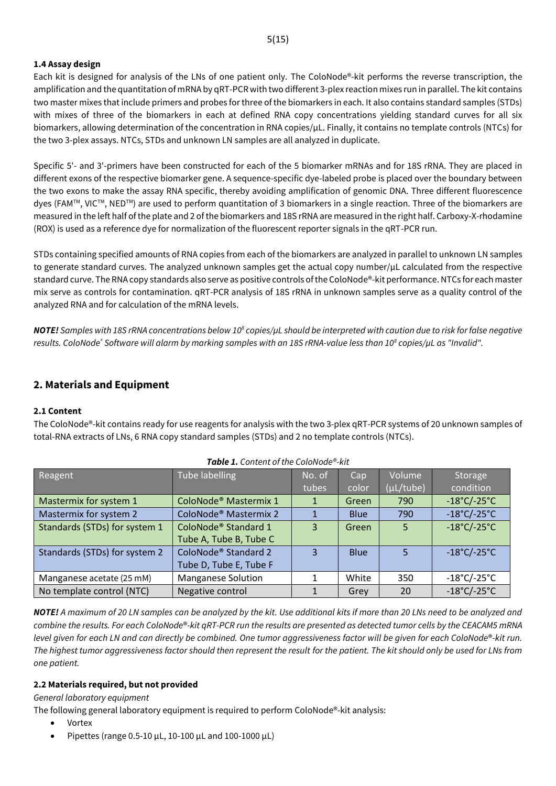#### **1.4 Assay design**

Each kit is designed for analysis of the LNs of one patient only. The ColoNode®-kit performs the reverse transcription, the amplification and the quantitation of mRNA by qRT-PCR with two different 3-plex reaction mixes run in parallel. The kit contains two master mixes that include primers and probes for three of the biomarkers in each. It also contains standard samples (STDs) with mixes of three of the biomarkers in each at defined RNA copy concentrations yielding standard curves for all six biomarkers, allowing determination of the concentration in RNA copies/µL. Finally, it contains no template controls (NTCs) for the two 3-plex assays. NTCs, STDs and unknown LN samples are all analyzed in duplicate.

Specific 5'- and 3'-primers have been constructed for each of the 5 biomarker mRNAs and for 18S rRNA. They are placed in different exons of the respective biomarker gene. A sequence-specific dye-labeled probe is placed over the boundary between the two exons to make the assay RNA specific, thereby avoiding amplification of genomic DNA. Three different fluorescence dyes (FAM™, VIC™, NED™) are used to perform quantitation of 3 biomarkers in a single reaction. Three of the biomarkers are measured in the left half of the plate and 2 of the biomarkers and 18S rRNA are measured in the right half. Carboxy-X-rhodamine (ROX) is used as a reference dye for normalization of the fluorescent reporter signals in the qRT-PCR run.

STDs containing specified amounts of RNA copies from each of the biomarkers are analyzed in parallel to unknown LN samples to generate standard curves. The analyzed unknown samples get the actual copy number/ $\mu$ L calculated from the respective standard curve. The RNA copy standards also serve as positive controls of the ColoNode®-kit performance.NTCs for each master mix serve as controls for contamination. qRT-PCR analysis of 18S rRNA in unknown samples serve as a quality control of the analyzed RNA and for calculation of the mRNA levels.

*NOTE! Samples with 18S rRNA concentrations below 10<sup>8</sup> copies/µL should be interpreted with caution due to risk for false negative results. ColoNode® Software will alarm by marking samples with an 18S rRNA-value less than 10<sup>8</sup> copies/µL as "Invalid".*

# **2. Materials and Equipment**

#### **2.1 Content**

The ColoNode®-kit contains ready for use reagents for analysis with the two 3-plex qRT-PCR systems of 20 unknown samples of total-RNA extracts of LNs, 6 RNA copy standard samples (STDs) and 2 no template controls (NTCs).

| Reagent                       | <b>Tube labelling</b>             | No. of | Cap         | Volume         | Storage                          |
|-------------------------------|-----------------------------------|--------|-------------|----------------|----------------------------------|
|                               |                                   | tubes  | color       | $(\mu L/tube)$ | condition                        |
| Mastermix for system 1        | ColoNode <sup>®</sup> Mastermix 1 | 1      | Green       | 790            | $-18^{\circ}$ C/-25 $^{\circ}$ C |
| Mastermix for system 2        | ColoNode <sup>®</sup> Mastermix 2 |        | <b>Blue</b> | 790            | $-18^{\circ}$ C/-25 $^{\circ}$ C |
| Standards (STDs) for system 1 | ColoNode <sup>®</sup> Standard 1  | 3      | Green       | 5              | $-18^{\circ}$ C/-25 $^{\circ}$ C |
|                               | Tube A, Tube B, Tube C            |        |             |                |                                  |
| Standards (STDs) for system 2 | ColoNode <sup>®</sup> Standard 2  | 3      | <b>Blue</b> | $\overline{5}$ | $-18^{\circ}$ C/-25 $^{\circ}$ C |
|                               | Tube D, Tube E, Tube F            |        |             |                |                                  |
| Manganese acetate (25 mM)     | <b>Manganese Solution</b>         |        | White       | 350            | $-18^{\circ}$ C/-25 $^{\circ}$ C |
| No template control (NTC)     | Negative control                  |        | Grey        | 20             | $-18^{\circ}$ C/-25 $^{\circ}$ C |

#### *Table 1. Content of the ColoNode®-kit*

*NOTE! A maximum of 20 LN samples can be analyzed by the kit. Use additional kits if more than 20 LNs need to be analyzed and combine the results. For each ColoNode*®*-kit qRT-PCR run the results are presented as detected tumor cells by the CEACAM5 mRNA level given for each LN and can directly be combined. One tumor aggressiveness factor will be given for each ColoNode*®*-kit run. The highest tumor aggressiveness factor should then represent the result for the patient. The kit should only be used for LNs from one patient.*

#### **2.2 Materials required, but not provided**

*General laboratory equipment*

The following general laboratory equipment is required to perform ColoNode®-kit analysis:

- Vortex
- Pipettes (range 0.5-10 µL, 10-100 µL and 100-1000 µL)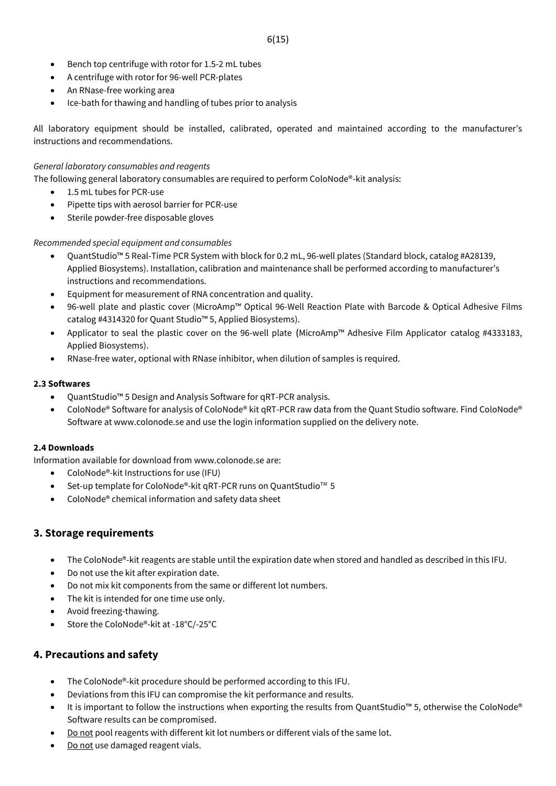- Bench top centrifuge with rotor for 1.5-2 mL tubes
- A centrifuge with rotor for 96-well PCR-plates
- An RNase-free working area
- Ice-bath for thawing and handling of tubes prior to analysis

All laboratory equipment should be installed, calibrated, operated and maintained according to the manufacturer's instructions and recommendations.

#### *General laboratory consumables and reagents*

The following general laboratory consumables are required to perform ColoNode®-kit analysis:

- 1.5 mL tubes for PCR-use
- Pipette tips with aerosol barrier for PCR-use
- Sterile powder-free disposable gloves

#### *Recommended special equipment and consumables*

- QuantStudio™ 5 Real-Time PCR System with block for 0.2 mL, 96-well plates (Standard block, catalog #A28139, Applied Biosystems). Installation, calibration and maintenance shall be performed according to manufacturer's instructions and recommendations.
- Equipment for measurement of RNA concentration and quality.
- 96-well plate and plastic cover (MicroAmp™ Optical 96-Well Reaction Plate with Barcode & Optical Adhesive Films catalog #4314320 for Quant Studio™ 5, Applied Biosystems).
- Applicator to seal the plastic cover on the 96-well plate (MicroAmp™ Adhesive Film Applicator catalog #4333183, Applied Biosystems).
- RNase-free water, optional with RNase inhibitor, when dilution of samples is required.

#### **2.3 Softwares**

- QuantStudio™ 5 Design and Analysis Software for qRT-PCR analysis.
- ColoNode® Software for analysis of ColoNode® kit qRT-PCR raw data from the Quant Studio software. Find ColoNode® Software at www.colonode.se and use the login information supplied on the delivery note.

#### **2.4 Downloads**

Information available for download from www.colonode.se are:

- ColoNode®-kit Instructions for use (IFU)
- Set-up template for ColoNode®-kit qRT-PCR runs on QuantStudio™ 5
- ColoNode® chemical information and safety data sheet

## **3. Storage requirements**

- The ColoNode®-kit reagents are stable until the expiration date when stored and handled as described in this IFU.
- Do not use the kit after expiration date.
- Do not mix kit components from the same or different lot numbers.
- The kit is intended for one time use only.
- Avoid freezing-thawing.
- Store the ColoNode®-kit at -18°C/-25°C

# **4. Precautions and safety**

- The ColoNode®-kit procedure should be performed according to this IFU.
- Deviations from this IFU can compromise the kit performance and results.
- It is important to follow the instructions when exporting the results from QuantStudio™ 5, otherwise the ColoNode® Software results can be compromised.
- Do not pool reagents with different kit lot numbers or different vials of the same lot.
- Do not use damaged reagent vials.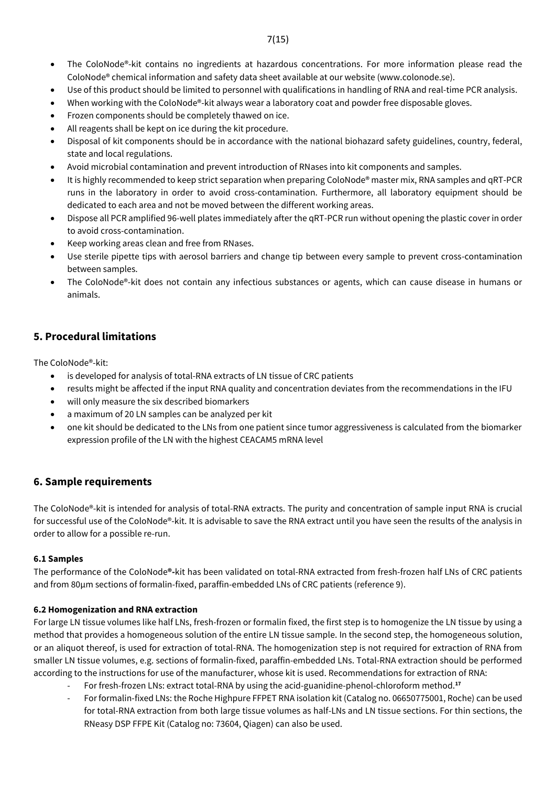- The ColoNode®-kit contains no ingredients at hazardous concentrations. For more information please read the ColoNode® chemical information and safety data sheet available at our website (www.colonode.se).
- Use of this product should be limited to personnel with qualifications in handling of RNA and real-time PCR analysis.
- When working with the ColoNode®-kit always wear a laboratory coat and powder free disposable gloves.
- Frozen components should be completely thawed on ice.
- All reagents shall be kept on ice during the kit procedure.
- Disposal of kit components should be in accordance with the national biohazard safety guidelines, country, federal, state and local regulations.
- Avoid microbial contamination and prevent introduction of RNases into kit components and samples.
- It is highly recommended to keep strict separation when preparing ColoNode® master mix, RNA samples and qRT-PCR runs in the laboratory in order to avoid cross-contamination. Furthermore, all laboratory equipment should be dedicated to each area and not be moved between the different working areas.
- Dispose all PCR amplified 96-well plates immediately after the qRT-PCR run without opening the plastic cover in order to avoid cross-contamination.
- Keep working areas clean and free from RNases.
- Use sterile pipette tips with aerosol barriers and change tip between every sample to prevent cross-contamination between samples.
- The ColoNode®-kit does not contain any infectious substances or agents, which can cause disease in humans or animals.

# **5. Procedural limitations**

The ColoNode®-kit:

- is developed for analysis of total-RNA extracts of LN tissue of CRC patients
- results might be affected if the input RNA quality and concentration deviates from the recommendations in the IFU
- will only measure the six described biomarkers
- a maximum of 20 LN samples can be analyzed per kit
- one kit should be dedicated to the LNs from one patient since tumor aggressiveness is calculated from the biomarker expression profile of the LN with the highest CEACAM5 mRNA level

# **6. Sample requirements**

The ColoNode®-kit is intended for analysis of total-RNA extracts. The purity and concentration of sample input RNA is crucial for successful use of the ColoNode®-kit. It is advisable to save the RNA extract until you have seen the results of the analysis in order to allow for a possible re-run.

## **6.1 Samples**

The performance of the ColoNode**®-**kit has been validated on total-RNA extracted from fresh-frozen half LNs of CRC patients and from 80µm sections of formalin-fixed, paraffin-embedded LNs of CRC patients (reference 9).

## **6.2 Homogenization and RNA extraction**

For large LN tissue volumes like half LNs, fresh-frozen or formalin fixed, the first step is to homogenize the LN tissue by using a method that provides a homogeneous solution of the entire LN tissue sample. In the second step, the homogeneous solution, or an aliquot thereof, is used for extraction of total-RNA. The homogenization step is not required for extraction of RNA from smaller LN tissue volumes, e.g. sections of formalin-fixed, paraffin-embedded LNs. Total-RNA extraction should be performed according to the instructions for use of the manufacturer, whose kit is used. Recommendations for extraction of RNA:

- For fresh-frozen LNs: extract total-RNA by using the acid-guanidine-phenol-chloroform method. **17**
- For formalin-fixed LNs: the Roche Highpure FFPET RNA isolation kit (Catalog no. 06650775001, Roche) can be used for total-RNA extraction from both large tissue volumes as half-LNs and LN tissue sections. For thin sections, the RNeasy DSP FFPE Kit (Catalog no: 73604, Qiagen) can also be used.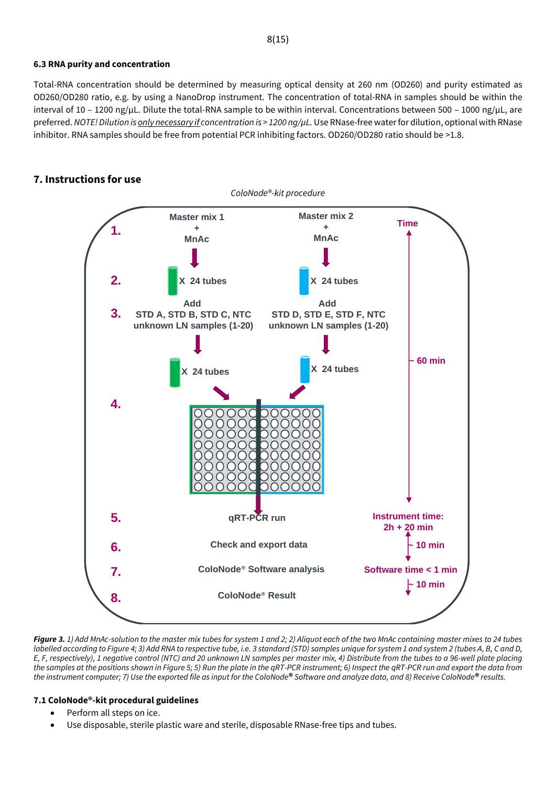## **6.3 RNA purity and concentration**

Total-RNA concentration should be determined by measuring optical density at 260 nm (OD260) and purity estimated as OD260/OD280 ratio, e.g. by using a NanoDrop instrument. The concentration of total-RNA in samples should be within the interval of 10 – 1200 ng/µL. Dilute the total-RNA sample to be within interval. Concentrations between 500 – 1000 ng/µL, are preferred. *NOTE! Dilution is only necessary if concentration is > 1200 ng/µL.*Use RNase-free waterfor dilution, optional with RNase inhibitor. RNA samples should be free from potential PCR inhibiting factors. OD260/OD280 ratio should be >1.8.

# **7. Instructions for use**



*Figure 3. 1) Add MnAc-solution to the master mix tubes for system 1 and 2; 2) Aliquot each of the two MnAc containing master mixes to 24 tubes labelled according to Figure 4; 3) Add RNA to respective tube, i.e. 3 standard (STD) samples unique for system 1 and system 2 (tubes A, B, C and D, E, F, respectively), 1 negative control (NTC) and 20 unknown LN samples per master mix, 4) Distribute from the tubes to a 96-well plate placing the samples at the positions shown in Figure 5; 5) Run the plate in the qRT-PCR instrument; 6) Inspect the qRT-PCR run and export the data from the instrument computer; 7) Use the exported file as input for the ColoNode***®** *Software and analyze data, and 8) Receive ColoNode***®** *results.*

# **7.1 ColoNode®-kit procedural guidelines**

- Perform all steps on ice.
- Use disposable, sterile plastic ware and sterile, disposable RNase-free tips and tubes.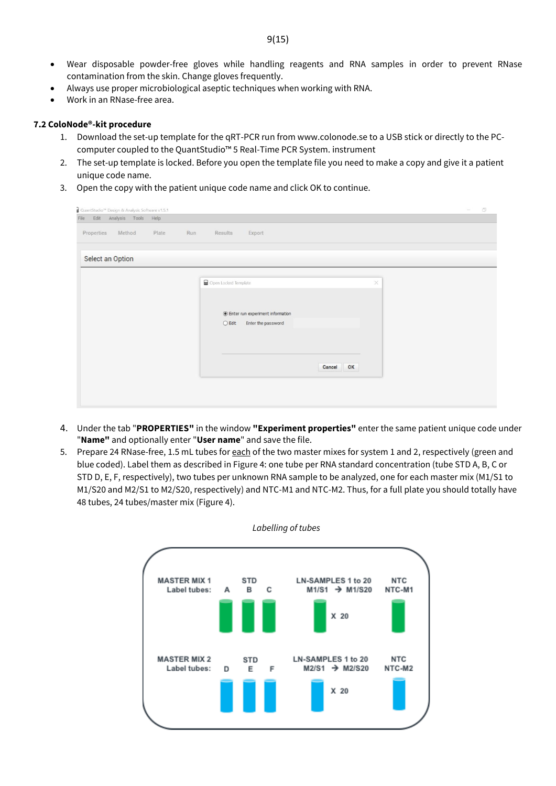- Wear disposable powder-free gloves while handling reagents and RNA samples in order to prevent RNase contamination from the skin. Change gloves frequently.
- Always use proper microbiological aseptic techniques when working with RNA.
- Work in an RNase-free area.

#### **7.2 ColoNode®-kit procedure**

- 1. Download the set-up template for the qRT-PCR run from www.colonode.se to a USB stick or directly to the PCcomputer coupled to the QuantStudio™ 5 Real-Time PCR System. instrument
- 2. The set-up template is locked. Before you open the template file you need to make a copy and give it a patient unique code name.
- 3. Open the copy with the patient unique code name and click OK to continue.

| QuantStudio <sup>na</sup> Design & Analysis Software v1.5.1 |                                                                      | ö |
|-------------------------------------------------------------|----------------------------------------------------------------------|---|
| Analysis Tools Help<br>Edit<br>File                         |                                                                      |   |
| Properties<br>Method<br>Run<br>Plate                        | Results<br>Export                                                    |   |
| Select an Option                                            |                                                                      |   |
|                                                             | Open Locked Template<br>$\times$                                     |   |
|                                                             |                                                                      |   |
|                                                             | ◉ Enter run experiment information<br>$O$ Edit<br>Enter the password |   |
|                                                             |                                                                      |   |
|                                                             | OK<br>Cancel                                                         |   |
|                                                             |                                                                      |   |
|                                                             |                                                                      |   |
|                                                             |                                                                      |   |

- 4. Under the tab "**PROPERTIES"** in the window **"Experiment properties"** enter the same patient unique code under "**Name"** and optionally enter "**User name**" and save the file.
- 5. Prepare 24 RNase-free, 1.5 mL tubes for each of the two master mixes for system 1 and 2, respectively (green and blue coded). Label them as described in Figure 4: one tube per RNA standard concentration (tube STD A, B, C or STD D, E, F, respectively), two tubes per unknown RNA sample to be analyzed, one for each master mix (M1/S1 to M1/S20 and M2/S1 to M2/S20, respectively) and NTC-M1 and NTC-M2. Thus, for a full plate you should totally have 48 tubes, 24 tubes/master mix (Figure 4).



*Labelling of tubes*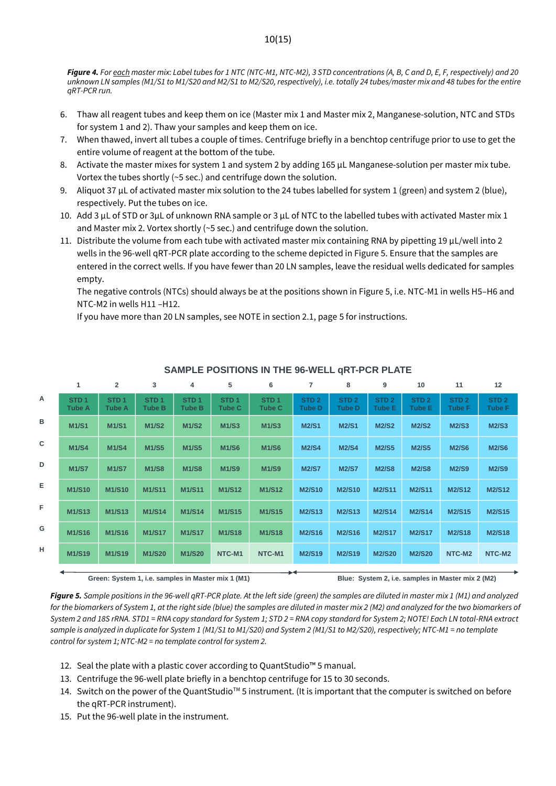*Figure 4. For each master mix: Label tubes for 1 NTC (NTC-M1, NTC-M2), 3 STD concentrations (A, B, C and D, E, F, respectively) and 20 unknown LN samples (M1/S1 to M1/S20 and M2/S1 to M2/S20, respectively), i.e. totally 24 tubes/master mix and 48 tubes for the entire qRT-PCR run.*

- 6. Thaw all reagent tubes and keep them on ice (Master mix 1 and Master mix 2, Manganese-solution, NTC and STDs for system 1 and 2). Thaw your samples and keep them on ice.
- 7. When thawed, invert all tubes a couple of times. Centrifuge briefly in a benchtop centrifuge prior to use to get the entire volume of reagent at the bottom of the tube.
- 8. Activate the master mixes for system 1 and system 2 by adding 165 µL Manganese-solution per master mix tube. Vortex the tubes shortly (~5 sec.) and centrifuge down the solution.
- 9. Aliquot 37  $\mu$ L of activated master mix solution to the 24 tubes labelled for system 1 (green) and system 2 (blue), respectively. Put the tubes on ice.
- 10. Add 3 µL of STD or 3µL of unknown RNA sample or 3 µL of NTC to the labelled tubes with activated Master mix 1 and Master mix 2. Vortex shortly (~5 sec.) and centrifuge down the solution.
- 11. Distribute the volume from each tube with activated master mix containing RNA by pipetting 19 µL/well into 2 wells in the 96-well qRT-PCR plate according to the scheme depicted in Figure 5. Ensure that the samples are entered in the correct wells. If you have fewer than 20 LN samples, leave the residual wells dedicated for samples empty.

The negative controls (NTCs) should always be at the positions shown in Figure 5, i.e. NTC-M1 in wells H5–H6 and NTC-M2 in wells H11 –H12.

If you have more than 20 LN samples, see NOTE in section 2.1, page 5 for instructions.

|              |                                   | 2                                 | 3                          | 4                                 | 5                                                  | 6                                 | 7                                 | 8                                 | 9                          | 10                                | 11                                                | 12                                |
|--------------|-----------------------------------|-----------------------------------|----------------------------|-----------------------------------|----------------------------------------------------|-----------------------------------|-----------------------------------|-----------------------------------|----------------------------|-----------------------------------|---------------------------------------------------|-----------------------------------|
| A            | STD <sub>1</sub><br><b>Tube A</b> | STD <sub>1</sub><br><b>Tube A</b> | STD <sub>1</sub><br>Tube B | STD <sub>1</sub><br><b>Tube B</b> | STD <sub>1</sub><br><b>Tube C</b>                  | STD <sub>1</sub><br><b>Tube C</b> | STD <sub>2</sub><br><b>Tube D</b> | STD <sub>2</sub><br><b>Tube D</b> | STD <sub>2</sub><br>Tube E | STD <sub>2</sub><br><b>Tube E</b> | STD <sub>2</sub><br><b>Tube F</b>                 | STD <sub>2</sub><br><b>Tube F</b> |
| в            | <b>M1/S1</b>                      | <b>M1/S1</b>                      | <b>M1/S2</b>               | <b>M1/S2</b>                      | <b>M1/S3</b>                                       | <b>M1/S3</b>                      | <b>M2/S1</b>                      | <b>M2/S1</b>                      | <b>M2/S2</b>               | <b>M2/S2</b>                      | <b>M2/S3</b>                                      | <b>M2/S3</b>                      |
| $\mathbf{C}$ | <b>M1/S4</b>                      | <b>M1/S4</b>                      | <b>M1/S5</b>               | <b>M1/S5</b>                      | <b>M1/S6</b>                                       | <b>M1/S6</b>                      | <b>M2/S4</b>                      | <b>M2/S4</b>                      | <b>M2/S5</b>               | <b>M2/S5</b>                      | <b>M2/S6</b>                                      | <b>M2/S6</b>                      |
| D            | <b>M1/S7</b>                      | <b>M1/S7</b>                      | <b>M1/S8</b>               | <b>M1/S8</b>                      | <b>M1/S9</b>                                       | <b>M1/S9</b>                      | <b>M2/S7</b>                      | <b>M2/S7</b>                      | <b>M2/S8</b>               | <b>M2/S8</b>                      | <b>M2/S9</b>                                      | <b>M2/S9</b>                      |
| Е            | <b>M1/S10</b>                     | <b>M1/S10</b>                     | <b>M1/S11</b>              | <b>M1/S11</b>                     | M1/S12                                             | M1/S12                            | <b>M2/S10</b>                     | <b>M2/S10</b>                     | <b>M2/S11</b>              | M2/S11                            | <b>M2/S12</b>                                     | <b>M2/S12</b>                     |
| F            | M1/S13                            | M1/S13                            | M1/S14                     | M1/S14                            | M1/S15                                             | M1/S15                            | <b>M2/S13</b>                     | M2/S13                            | <b>M2/S14</b>              | M2/S14                            | M2/S15                                            | M2/S15                            |
| G            | M1/S16                            | M1/S16                            | M1/S17                     | <b>M1/S17</b>                     | <b>M1/S18</b>                                      | <b>M1/S18</b>                     | <b>M2/S16</b>                     | <b>M2/S16</b>                     | <b>M2/S17</b>              | <b>M2/S17</b>                     | <b>M2/S18</b>                                     | <b>M2/S18</b>                     |
| н            | M1/S19                            | M1/S19                            | M1/S20                     | <b>M1/S20</b>                     | NTC-M1                                             | NTC-M1                            | <b>M2/S19</b>                     | <b>M2/S19</b>                     | <b>M2/S20</b>              | <b>M2/S20</b>                     | NTC-M2                                            | NTC-M2                            |
|              |                                   |                                   |                            |                                   |                                                    |                                   |                                   |                                   |                            |                                   |                                                   |                                   |
|              |                                   |                                   |                            |                                   | Green: System 1, i.e. samples in Master mix 1 (M1) |                                   |                                   |                                   |                            |                                   | Blue: System 2, i.e. samples in Master mix 2 (M2) |                                   |

#### **SAMPLE POSITIONS IN THE 96-WELL qRT-PCR PLATE**

*Figure 5. Sample positions in the 96-well qRT-PCR plate. At the left side (green) the samples are diluted in master mix 1 (M1) and analyzed for the biomarkers of System 1, at the right side (blue) the samples are diluted in master mix 2 (M2) and analyzed for the two biomarkers of System 2 and 18S rRNA. STD1 = RNA copy standard for System 1; STD 2 = RNA copy standard for System 2; NOTE! Each LN total-RNA extract sample is analyzed in duplicate for System 1 (M1/S1 to M1/S20) and System 2 (M1/S1 to M2/S20), respectively; NTC-M1 = no template control for system 1; NTC-M2 = no template control for system 2.*

- 12. Seal the plate with a plastic cover according to QuantStudio™ 5 manual.
- 13. Centrifuge the 96-well plate briefly in a benchtop centrifuge for 15 to 30 seconds.
- 14. Switch on the power of the QuantStudioTM 5 instrument. (It is important that the computer is switched on before the qRT-PCR instrument).
- 15. Put the 96-well plate in the instrument.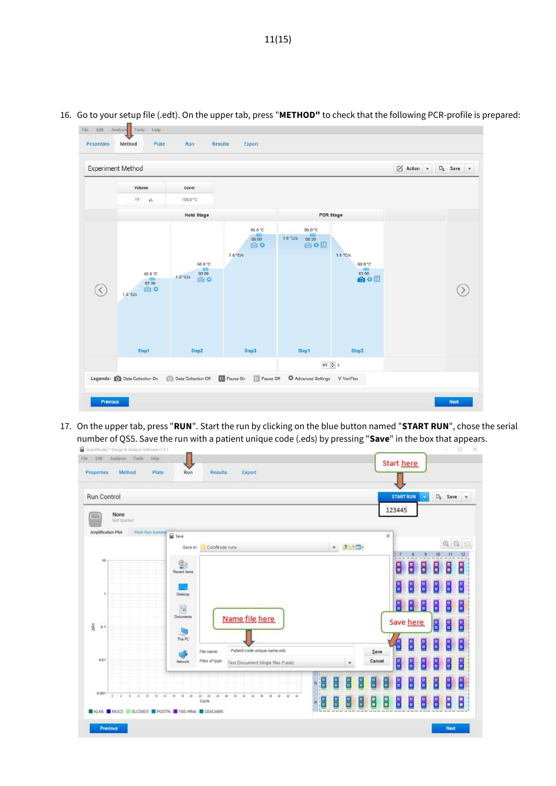

16. Go to your setup file (.edt). On the upper tab, press "**METHOD"** to check that the following PCR-profile is prepared:

17. On the upper tab, press "**RUN**". Start the run by clicking on the blue button named "**START RUN**", chose the serial number of QS5. Save the run with a patient unique code (.eds) by pressing "**Save**" in the box that appears.

| <b>Run Control</b>                   |                   |                                                                                                    |             |           |                | <b>START RUN</b> |           |        | $\square_1$ Save | $\mathbf{v}$ |
|--------------------------------------|-------------------|----------------------------------------------------------------------------------------------------|-------------|-----------|----------------|------------------|-----------|--------|------------------|--------------|
| None<br>Not Started                  |                   |                                                                                                    |             |           |                | 123445           |           |        |                  |              |
| Amplification Plot<br>Post-Run Summa | Save              |                                                                                                    |             |           | ×              |                  |           |        |                  |              |
|                                      | Save in:          | ColoNode runs                                                                                      |             | v žiniji. |                |                  |           |        | QQ               |              |
| 10                                   |                   |                                                                                                    |             |           |                |                  |           |        | 11<br>10         | 12           |
|                                      | @<br>Recent Items |                                                                                                    |             |           |                | 8                | 8         | 9.     | H<br>몸           | 몸            |
|                                      |                   |                                                                                                    |             |           |                | E                | ₩         | E      | Н<br>В           | 음            |
| ٠                                    |                   |                                                                                                    |             |           |                |                  |           |        |                  |              |
|                                      | Desktop           |                                                                                                    |             |           |                |                  |           |        |                  |              |
|                                      |                   |                                                                                                    |             |           |                | H                | 뮤         | 몸      | 음<br>몸           | 몸            |
|                                      | 骨<br>Documents    | Name file here                                                                                     |             |           |                |                  |           |        |                  |              |
| 0.1                                  |                   |                                                                                                    |             |           |                |                  | Save here |        | 밑<br>븝           | 몸            |
|                                      | This PC           |                                                                                                    |             |           |                | Æ                | u         | 음      | 음<br>n<br>U      | 몸            |
| <b>ARn</b><br>0.01                   | <b>Network</b>    | Patient code unique name.eds<br>File name:<br>Files of type:<br>Test Document Single files (*.eds) |             | ٧         | Save<br>Cancel |                  |           |        |                  |              |
|                                      |                   |                                                                                                    |             |           |                | B                | u<br>A    | u<br>U | 믐<br>u<br>u      | 몸            |
| 0.001                                |                   |                                                                                                    | 븱<br>H<br>G | H<br>H    | H<br>11<br>11  | 10<br>10         | n<br>U    | u<br>V | u<br>U<br>u<br>U | B            |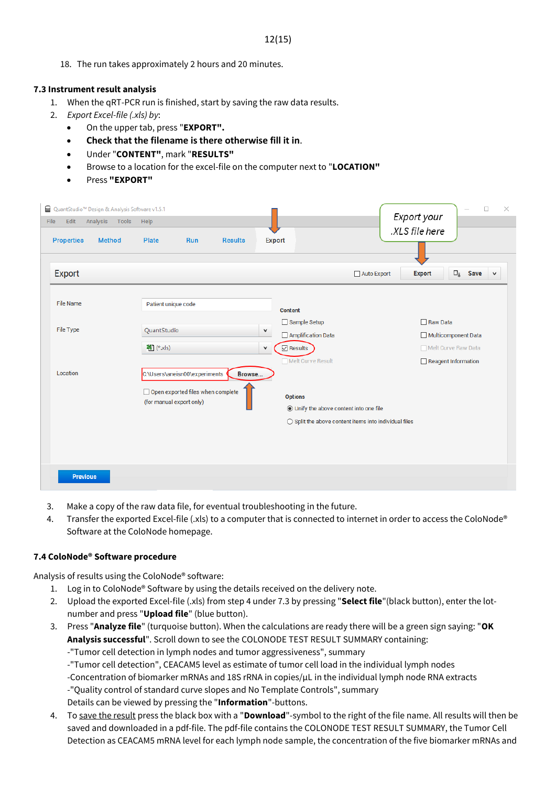18. The run takes approximately 2 hours and 20 minutes.

## **7.3 Instrument result analysis**

- 1. When the qRT-PCR run is finished, start by saving the raw data results.
- 2. *Export Excel-file (.xls) by*:
	- On the upper tab, press "**EXPORT".**
	- **Check that the filename is there otherwise fill it in**.
	- Under "**CONTENT"**, mark "**RESULTS"**
	- Browse to a location for the excel-file on the computer next to "**LOCATION"**
	- Press **"EXPORT"**

| <b>Properties</b><br><b>Method</b> | <b>Plate</b>        | Run                                                             | <b>Results</b> |              | <b>Export</b>                                             |                                                                | .XLS file here                                              |
|------------------------------------|---------------------|-----------------------------------------------------------------|----------------|--------------|-----------------------------------------------------------|----------------------------------------------------------------|-------------------------------------------------------------|
| Export                             |                     |                                                                 |                |              |                                                           | Auto Export                                                    | $\square_{\sharp}$<br>Save<br><b>Export</b><br>$\checkmark$ |
| <b>File Name</b>                   | Patient unique code |                                                                 |                |              | <b>Content</b>                                            |                                                                |                                                             |
| File Type                          | QuantStudio         |                                                                 |                | $\checkmark$ | Sample Setup<br>Amplification Data                        |                                                                | $\Box$ Raw Data<br>Multicomponent Data                      |
|                                    | <b>图</b> (*xls)     |                                                                 |                | $\checkmark$ | $\boxdot$ Results                                         |                                                                | Melt Curve Raw Data                                         |
| Location                           |                     | C:\Users\aneisn00\experiments                                   | Browse         |              | Melt Curve Result                                         |                                                                | Reagent Information                                         |
|                                    |                     | □ Open exported files when complete<br>(for manual export only) |                |              | <b>Options</b><br>◉ Unify the above content into one file |                                                                |                                                             |
|                                    |                     |                                                                 |                |              |                                                           | $\bigcirc$ Split the above content items into individual files |                                                             |
|                                    |                     |                                                                 |                |              |                                                           |                                                                |                                                             |

- 3. Make a copy of the raw data file, for eventual troubleshooting in the future.
- 4. Transfer the exported Excel-file (.xls) to a computer that is connected to internet in order to access the ColoNode® Software at the ColoNode homepage.

#### **7.4 ColoNode® Software procedure**

Analysis of results using the ColoNode® software:

- 1. Log in to ColoNode® Software by using the details received on the delivery note.
- 2. Upload the exported Excel-file (.xls) from step 4 under 7.3 by pressing "**Select file**"(black button), enter the lotnumber and press "**Upload file**" (blue button).
- 3. Press "**Analyze file**" (turquoise button). When the calculations are ready there will be a green sign saying: "**OK Analysis successful**". Scroll down to see the COLONODE TEST RESULT SUMMARY containing: -"Tumor cell detection in lymph nodes and tumor aggressiveness", summary

-"Tumor cell detection", CEACAM5 level as estimate of tumor cell load in the individual lymph nodes

-Concentration of biomarker mRNAs and 18S rRNA in copies/µL in the individual lymph node RNA extracts -"Quality control of standard curve slopes and No Template Controls", summary

Details can be viewed by pressing the "**Information**"-buttons.

4. To save the result press the black box with a "**Download**"-symbol to the right of the file name. All results will then be saved and downloaded in a pdf-file. The pdf-file contains the COLONODE TEST RESULT SUMMARY, the Tumor Cell Detection as CEACAM5 mRNA level for each lymph node sample, the concentration of the five biomarker mRNAs and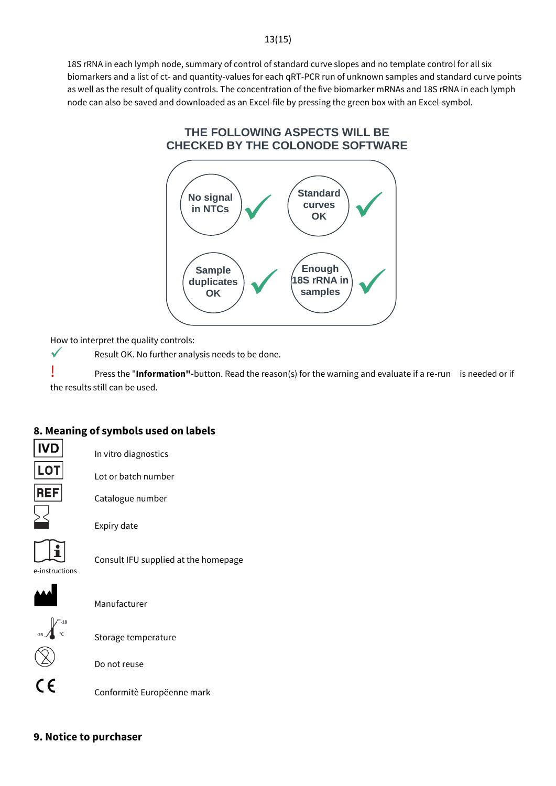#### 13(15)

18S rRNA in each lymph node, summary of control of standard curve slopes and no template control for all six biomarkers and a list of ct- and quantity-values for each qRT-PCR run of unknown samples and standard curve points as well as the result of quality controls. The concentration of the five biomarker mRNAs and 18S rRNA in each lymph node can also be saved and downloaded as an Excel-file by pressing the green box with an Excel-symbol.

# **THE FOLLOWING ASPECTS WILL BE CHECKED BY THE COLONODE SOFTWARE**



How to interpret the quality controls:

Result OK. No further analysis needs to be done.

! Press the "**Information"-**button. Read the reason(s) for the warning and evaluate if a re-run is needed or if the results still can be used.

## **8. Meaning of symbols used on labels**

**IVD LOT** 

 $\checkmark$ 

In vitro diagnostics

Lot or batch number



Catalogue number



Expiry date

e-instructions

**Manufacturer** 



Storage temperature

Do not reuse

 $\epsilon$ 

Conformitè Europëenne mark

Consult IFU supplied at the homepage

## **9. Notice to purchaser**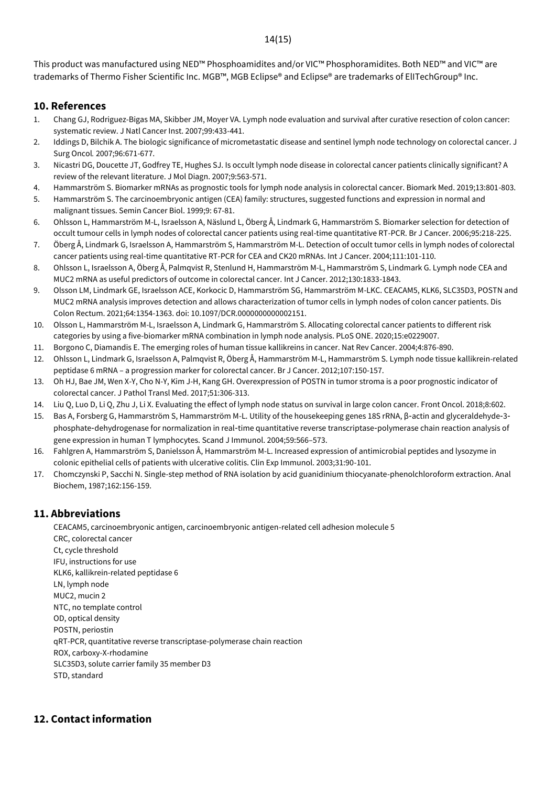#### 14(15)

This product was manufactured using NED™ Phosphoamidites and/or VIC™ Phosphoramidites. Both NED™ and VIC™ are trademarks of Thermo Fisher Scientific Inc. MGB™, MGB Eclipse® and Eclipse® are trademarks of ElITechGroup® Inc.

#### **10. References**

- 1. Chang GJ, Rodriguez-Bigas MA, Skibber JM, Moyer VA. Lymph node evaluation and survival after curative resection of colon cancer: systematic review. J Natl Cancer Inst. 2007;99:433-441.
- 2. Iddings D, Bilchik A. The biologic significance of micrometastatic disease and sentinel lymph node technology on colorectal cancer. J Surg Oncol*.* 2007;96:671-677.
- 3. Nicastri DG, Doucette JT, Godfrey TE, Hughes SJ. Is occult lymph node disease in colorectal cancer patients clinically significant? A review of the relevant literature. J Mol Diagn. 2007;9:563-571.
- 4. Hammarström S. Biomarker mRNAs as prognostic tools for lymph node analysis in colorectal cancer. Biomark Med. 2019;13:801-803.
- 5. Hammarström S. The carcinoembryonic antigen (CEA) family: structures, suggested functions and expression in normal and malignant tissues. Semin Cancer Biol. 1999;9: 67-81.
- 6. Ohlsson L, Hammarström M-L, Israelsson A, Näslund L, Öberg Å, Lindmark G, Hammarström S. Biomarker selection for detection of occult tumour cells in lymph nodes of colorectal cancer patients using real-time quantitative RT-PCR. Br J Cancer. 2006;95:218-225.
- 7. Öberg Å, Lindmark G, Israelsson A, Hammarström S, Hammarström M-L. Detection of occult tumor cells in lymph nodes of colorectal cancer patients using real-time quantitative RT-PCR for CEA and CK20 mRNAs. Int J Cancer. 2004;111:101-110.
- 8. Ohlsson L, Israelsson A, Öberg Å, Palmqvist R, Stenlund H, Hammarström M-L, Hammarström S, Lindmark G. Lymph node CEA and MUC2 mRNA as useful predictors of outcome in colorectal cancer. Int J Cancer. 2012;130:1833-1843.
- 9. Olsson LM, Lindmark GE, Israelsson ACE, Korkocic D, Hammarström SG, Hammarström M-LKC. CEACAM5, KLK6, SLC35D3, POSTN and MUC2 mRNA analysis improves detection and allows characterization of tumor cells in lymph nodes of colon cancer patients. Dis Colon Rectum. 2021;64:1354-1363. doi: 10.1097/DCR.0000000000002151.
- 10. Olsson L, Hammarström M-L, Israelsson A, Lindmark G, Hammarström S. Allocating colorectal cancer patients to different risk categories by using a five-biomarker mRNA combination in lymph node analysis. PLoS ONE. 2020;15:e0229007.
- 11. Borgono C, Diamandis E. The emerging roles of human tissue kallikreins in cancer. Nat Rev Cancer. 2004;4:876-890.
- 12. Ohlsson L, Lindmark G, Israelsson A, Palmqvist R, Öberg Å, Hammarström M-L, Hammarström S. Lymph node tissue kallikrein-related peptidase 6 mRNA – a progression marker for colorectal cancer. Br J Cancer. 2012;107:150-157.
- 13. Oh HJ, Bae JM, Wen X-Y, Cho N-Y, Kim J-H, Kang GH. Overexpression of POSTN in tumor stroma is a poor prognostic indicator of colorectal cancer. J Pathol Transl Med. 2017;51:306-313.
- 14. Liu Q, Luo D, Li Q, Zhu J, Li X. Evaluating the effect of lymph node status on survival in large colon cancer. Front Oncol. 2018;8:602.
- 15. Bas A, Forsberg G, Hammarström S, Hammarström M-L. Utility of the housekeeping genes 18S rRNA, β‐actin and glyceraldehyde‐3‐ phosphate‐dehydrogenase for normalization in real‐time quantitative reverse transcriptase‐polymerase chain reaction analysis of gene expression in human T lymphocytes. Scand J Immunol. 2004;59:566–573.
- 16. Fahlgren A, Hammarström S, Danielsson Å, Hammarström M-L. Increased expression of antimicrobial peptides and lysozyme in colonic epithelial cells of patients with ulcerative colitis. Clin Exp Immunol. 2003;31:90-101.
- 17. Chomczynski P, Sacchi N. Single-step method of RNA isolation by acid guanidinium thiocyanate-phenolchloroform extraction. Anal Biochem, 1987;162:156-159.

## **11. Abbreviations**

CEACAM5, carcinoembryonic antigen, carcinoembryonic antigen-related cell adhesion molecule 5 CRC, colorectal cancer Ct, cycle threshold IFU, instructions for use KLK6, kallikrein-related peptidase 6 LN, lymph node MUC2, mucin 2 NTC, no template control OD, optical density POSTN, periostin qRT-PCR, quantitative reverse transcriptase-polymerase chain reaction ROX, carboxy-X-rhodamine SLC35D3, solute carrier family 35 member D3 STD, standard

# **12. Contact information**